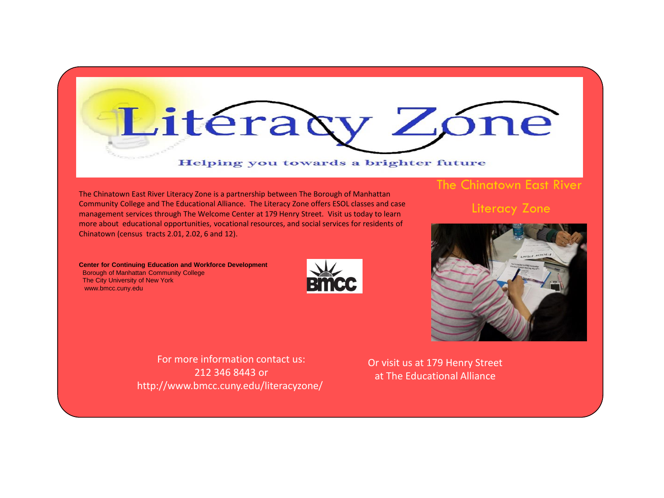

## Helping you towards a brighter future

The Chinatown East River Literacy Zone is a partnership between The Borough of Manhattan Community College and The Educational Alliance. The Literacy Zone offers ESOL classes and case management services through The Welcome Center at 179 Henry Street. Visit us today to learn more about educational opportunities, vocational resources, and social services for residents of Chinatown (census tracts 2.01, 2.02, 6 and 12).

**Center for Continuing Education and Workforce Development**  Borough of Manhattan Community College The City University of New York www.bmcc.cuny.edu





The Chinatown East River

Literacy Zone

For more information contact us: 212 346 8443 or http://www.bmcc.cuny.edu/literacyzone/

Or visit us at 179 Henry Street at The Educational Alliance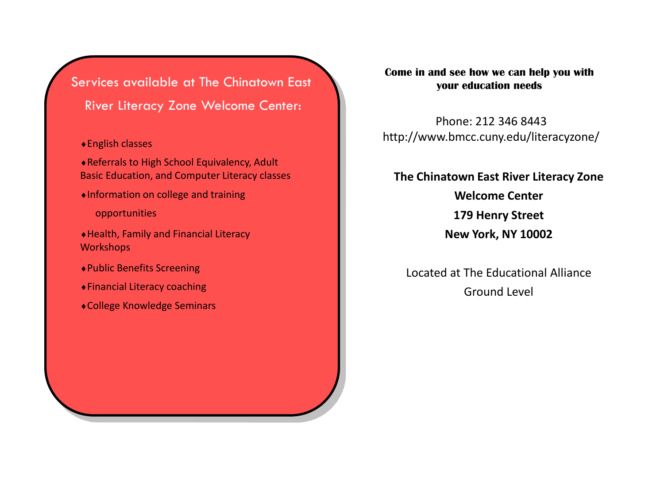Services available at The Chinatown East River Literacy Zone Welcome Center:

## English classes

Referrals to High School Equivalency, Adult Basic Education, and Computer Literacy classes

Information on college and training

opportunities

Health, Family and Financial Literacy **Workshops** 

- Public Benefits Screening
- Financial Literacy coaching
- College Knowledge Seminars

**Come in and see how we can help you with your education needs**

Phone: 212 346 8443 http://www.bmcc.cuny.edu/literacyzone/

## **The Chinatown East River Literacy Zone Welcome Center**

**179 Henry Street** 

**New York, NY 10002**

Located at The Educational Alliance Ground Level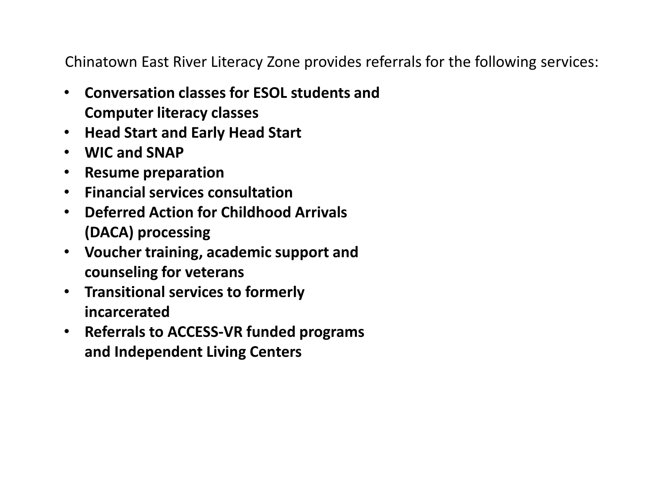Chinatown East River Literacy Zone provides referrals for the following services:

- **Conversation classes for ESOL students and Computer literacy classes**
- **Head Start and Early Head Start**
- **WIC and SNAP**
- **Resume preparation**
- **Financial services consultation**
- **Deferred Action for Childhood Arrivals (DACA) processing**
- **Voucher training, academic support and counseling for veterans**
- **Transitional services to formerly incarcerated**
- **Referrals to ACCESS-VR funded programs and Independent Living Centers**